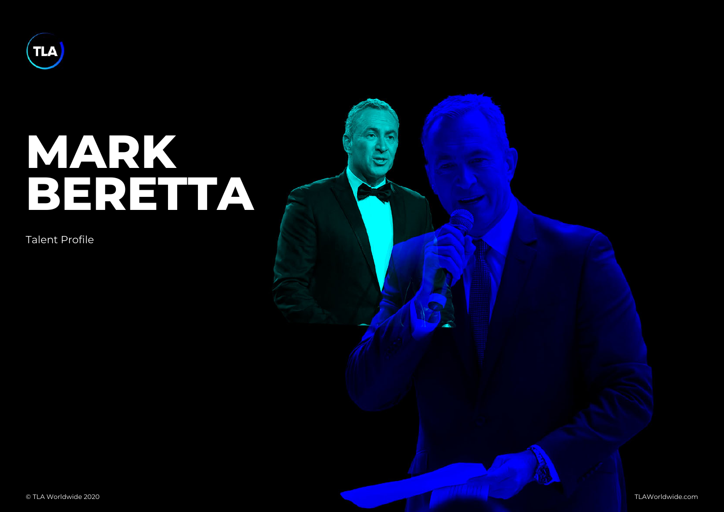## MARK BERETTA

Talent Profile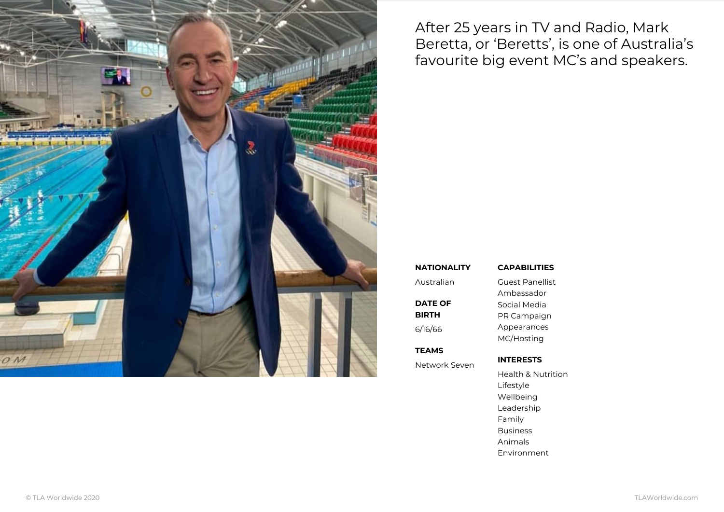After 25 years in TV and Radio Beretta, or Beretts, is one of favourite big event MC s and s

## NATIONALITY CAPABILITIES

| Australian    | Guest Panellist    |
|---------------|--------------------|
|               | Ambassador         |
| DATE OF       | Social Media       |
| BIRTH         | PR Campaign        |
| 6/16/66       | Appearances        |
|               | MC/Hosting         |
| TEAMS         |                    |
| Network Seven | INTERESTS          |
|               | Health & Nutrition |

Lifestyle Wellbeing Leadership Family

Business

Animals

Environment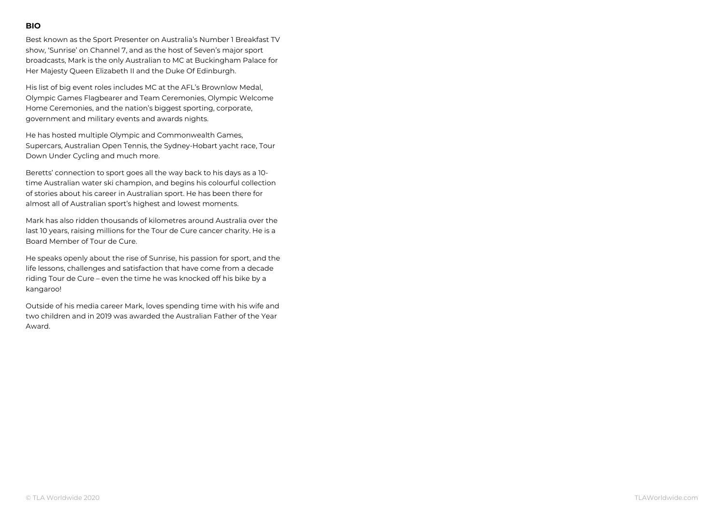Best known as the Sport Presenter on Australia s Number 1 Breakfast TV show, Sunrise on Channel 7, and as the host of Seven s major sport broadcasts, Mark is the only Australian to MC at Buckingham Palace for Her Majesty Queen Elizabeth II and the Duke Of Edinburgh.

His list of big event roles includes MC at the AFL s Brownlow Medal, Olympic Games Flagbearer and Team Ceremonies, Olympic Welcome Home Ceremonies, and the nation s biggest sporting, corporate, government and military events and awards nights.

He has hosted multiple Olympic and Commonwealth Games, Supercars, Australian Open Tennis, the Sydney-Hobart yacht race, Tour Down Under Cycling and much more.

Beretts connection to sport goes all the way back to his days as a 10 time Australian water ski champion, and begins his colourful collection of stories about his career in Australian sport. He has been there for almost all of Australian sport s highest and lowest moments.

Mark has also ridden thousands of kilometres around Australia over the last 10 years, raising millions for the Tour de Cure cancer charity. He is a Board Member of Tour de Cure.

He speaks openly about the rise of Sunrise, his passion for sport, and the life lessons, challenges and satisfaction that have come from a decade riding Tour de Cure even the time he was knocked off his bike by a kangaroo!

Outside of his media career Mark, loves spending time with his wife and two children and in 2019 was awarded the Australian Father of the Year Award.

## BIO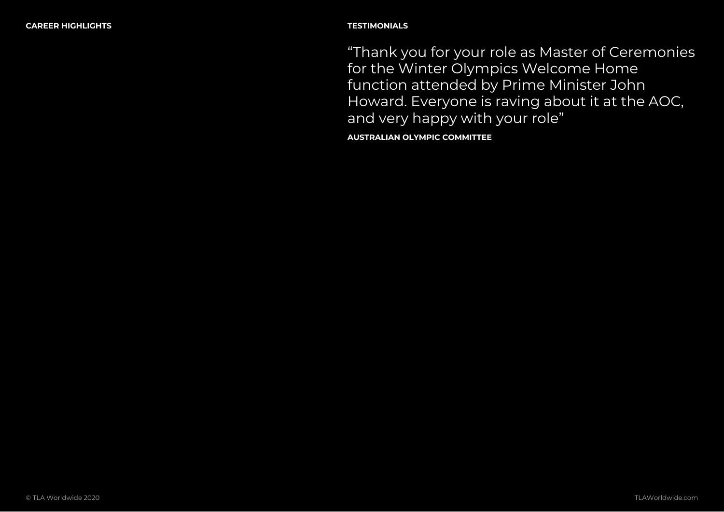Thank you for your role as Master of for the Winter Olympics Welcome Hor function attended by Prime Minister . Howard. Everyone is raving about it a and very happy with your role

AUSTRALIAN OLYMPIC COMMITTEE